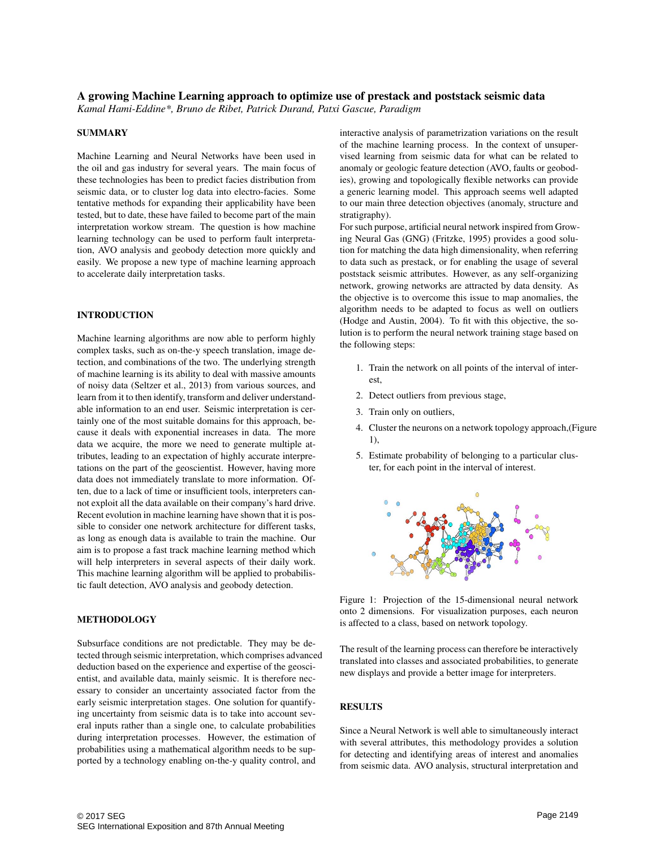## A growing Machine Learning approach to optimize use of prestack and poststack seismic data

*Kamal Hami-Eddine\*, Bruno de Ribet, Patrick Durand, Patxi Gascue, Paradigm*

### SUMMARY

Machine Learning and Neural Networks have been used in the oil and gas industry for several years. The main focus of these technologies has been to predict facies distribution from seismic data, or to cluster log data into electro-facies. Some tentative methods for expanding their applicability have been tested, but to date, these have failed to become part of the main interpretation workow stream. The question is how machine learning technology can be used to perform fault interpretation, AVO analysis and geobody detection more quickly and easily. We propose a new type of machine learning approach to accelerate daily interpretation tasks.

### INTRODUCTION

Machine learning algorithms are now able to perform highly complex tasks, such as on-the-y speech translation, image detection, and combinations of the two. The underlying strength of machine learning is its ability to deal with massive amounts of noisy data (Seltzer et al., 2013) from various sources, and learn from it to then identify, transform and deliver understandable information to an end user. Seismic interpretation is certainly one of the most suitable domains for this approach, because it deals with exponential increases in data. The more data we acquire, the more we need to generate multiple attributes, leading to an expectation of highly accurate interpretations on the part of the geoscientist. However, having more data does not immediately translate to more information. Often, due to a lack of time or insufficient tools, interpreters cannot exploit all the data available on their company's hard drive. Recent evolution in machine learning have shown that it is possible to consider one network architecture for different tasks, as long as enough data is available to train the machine. Our aim is to propose a fast track machine learning method which will help interpreters in several aspects of their daily work. This machine learning algorithm will be applied to probabilistic fault detection, AVO analysis and geobody detection.

### **METHODOLOGY**

Subsurface conditions are not predictable. They may be detected through seismic interpretation, which comprises advanced deduction based on the experience and expertise of the geoscientist, and available data, mainly seismic. It is therefore necessary to consider an uncertainty associated factor from the early seismic interpretation stages. One solution for quantifying uncertainty from seismic data is to take into account several inputs rather than a single one, to calculate probabilities during interpretation processes. However, the estimation of probabilities using a mathematical algorithm needs to be supported by a technology enabling on-the-y quality control, and

interactive analysis of parametrization variations on the result of the machine learning process. In the context of unsupervised learning from seismic data for what can be related to anomaly or geologic feature detection (AVO, faults or geobodies), growing and topologically flexible networks can provide a generic learning model. This approach seems well adapted to our main three detection objectives (anomaly, structure and stratigraphy).

For such purpose, artificial neural network inspired from Growing Neural Gas (GNG) (Fritzke, 1995) provides a good solution for matching the data high dimensionality, when referring to data such as prestack, or for enabling the usage of several poststack seismic attributes. However, as any self-organizing network, growing networks are attracted by data density. As the objective is to overcome this issue to map anomalies, the algorithm needs to be adapted to focus as well on outliers (Hodge and Austin, 2004). To fit with this objective, the solution is to perform the neural network training stage based on the following steps:

- 1. Train the network on all points of the interval of interest,
- 2. Detect outliers from previous stage,
- 3. Train only on outliers,
- 4. Cluster the neurons on a network topology approach,(Figure 1),
- 5. Estimate probability of belonging to a particular cluster, for each point in the interval of interest.



Figure 1: Projection of the 15-dimensional neural network onto 2 dimensions. For visualization purposes, each neuron is affected to a class, based on network topology.

The result of the learning process can therefore be interactively translated into classes and associated probabilities, to generate new displays and provide a better image for interpreters.

# **RESULTS**

Since a Neural Network is well able to simultaneously interact with several attributes, this methodology provides a solution for detecting and identifying areas of interest and anomalies from seismic data. AVO analysis, structural interpretation and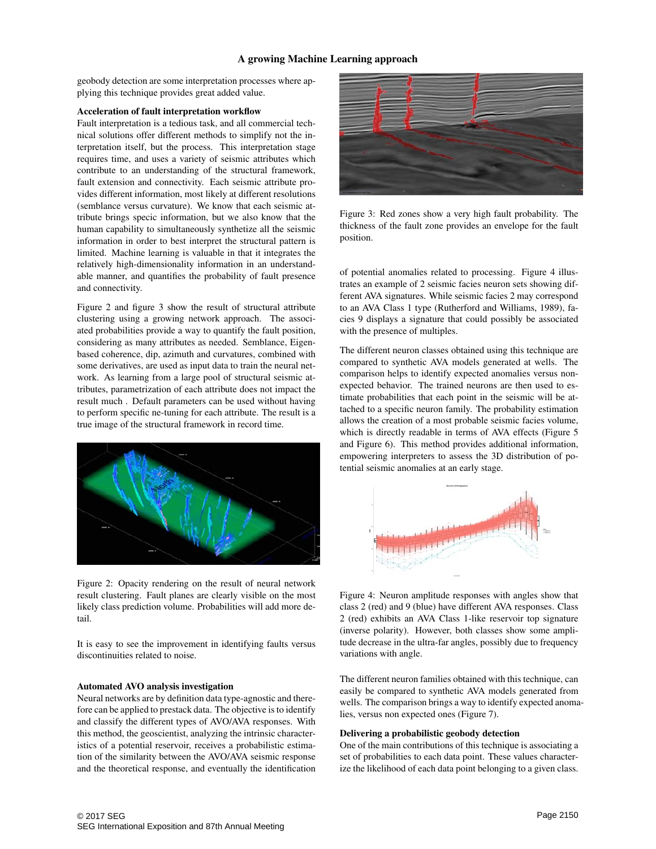## A growing Machine Learning approach

geobody detection are some interpretation processes where applying this technique provides great added value.

### Acceleration of fault interpretation workflow

Fault interpretation is a tedious task, and all commercial technical solutions offer different methods to simplify not the interpretation itself, but the process. This interpretation stage requires time, and uses a variety of seismic attributes which contribute to an understanding of the structural framework, fault extension and connectivity. Each seismic attribute provides different information, most likely at different resolutions (semblance versus curvature). We know that each seismic attribute brings specic information, but we also know that the human capability to simultaneously synthetize all the seismic information in order to best interpret the structural pattern is limited. Machine learning is valuable in that it integrates the relatively high-dimensionality information in an understandable manner, and quantifies the probability of fault presence and connectivity.

Figure 2 and figure 3 show the result of structural attribute clustering using a growing network approach. The associated probabilities provide a way to quantify the fault position, considering as many attributes as needed. Semblance, Eigenbased coherence, dip, azimuth and curvatures, combined with some derivatives, are used as input data to train the neural network. As learning from a large pool of structural seismic attributes, parametrization of each attribute does not impact the result much . Default parameters can be used without having to perform specific ne-tuning for each attribute. The result is a true image of the structural framework in record time.



Figure 2: Opacity rendering on the result of neural network result clustering. Fault planes are clearly visible on the most likely class prediction volume. Probabilities will add more detail.

It is easy to see the improvement in identifying faults versus discontinuities related to noise.

#### Automated AVO analysis investigation

Neural networks are by definition data type-agnostic and therefore can be applied to prestack data. The objective is to identify and classify the different types of AVO/AVA responses. With this method, the geoscientist, analyzing the intrinsic characteristics of a potential reservoir, receives a probabilistic estimation of the similarity between the AVO/AVA seismic response and the theoretical response, and eventually the identification



Figure 3: Red zones show a very high fault probability. The thickness of the fault zone provides an envelope for the fault position.

of potential anomalies related to processing. Figure 4 illustrates an example of 2 seismic facies neuron sets showing different AVA signatures. While seismic facies 2 may correspond to an AVA Class 1 type (Rutherford and Williams, 1989), facies 9 displays a signature that could possibly be associated with the presence of multiples.

The different neuron classes obtained using this technique are compared to synthetic AVA models generated at wells. The comparison helps to identify expected anomalies versus nonexpected behavior. The trained neurons are then used to estimate probabilities that each point in the seismic will be attached to a specific neuron family. The probability estimation allows the creation of a most probable seismic facies volume, which is directly readable in terms of AVA effects (Figure 5 and Figure 6). This method provides additional information, empowering interpreters to assess the 3D distribution of potential seismic anomalies at an early stage.



Figure 4: Neuron amplitude responses with angles show that class 2 (red) and 9 (blue) have different AVA responses. Class 2 (red) exhibits an AVA Class 1-like reservoir top signature (inverse polarity). However, both classes show some amplitude decrease in the ultra-far angles, possibly due to frequency variations with angle.

The different neuron families obtained with this technique, can easily be compared to synthetic AVA models generated from wells. The comparison brings a way to identify expected anomalies, versus non expected ones (Figure 7).

### Delivering a probabilistic geobody detection

One of the main contributions of this technique is associating a set of probabilities to each data point. These values characterize the likelihood of each data point belonging to a given class.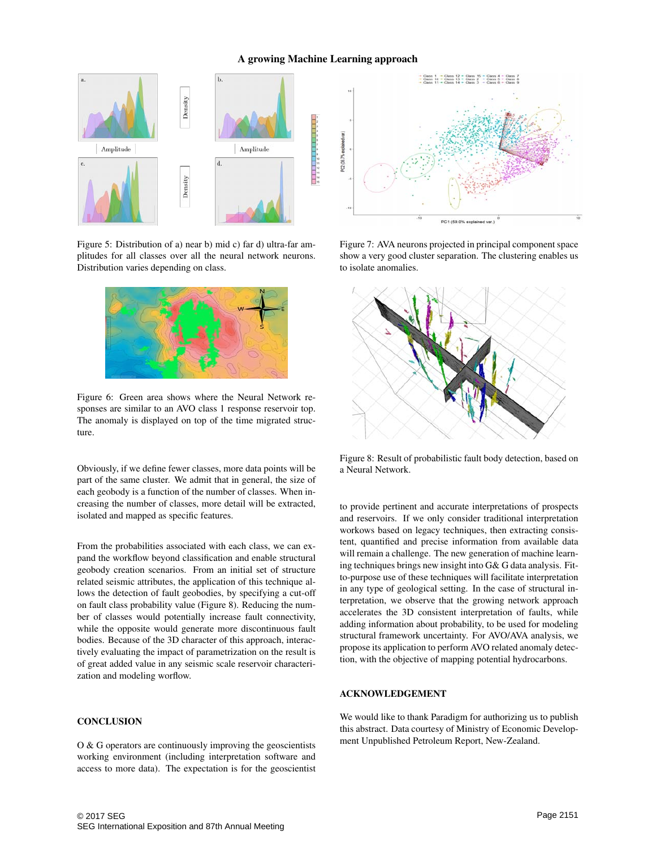## A growing Machine Learning approach



Figure 5: Distribution of a) near b) mid c) far d) ultra-far amplitudes for all classes over all the neural network neurons. Distribution varies depending on class.



Figure 6: Green area shows where the Neural Network responses are similar to an AVO class 1 response reservoir top. The anomaly is displayed on top of the time migrated structure.

Obviously, if we define fewer classes, more data points will be part of the same cluster. We admit that in general, the size of each geobody is a function of the number of classes. When increasing the number of classes, more detail will be extracted, isolated and mapped as specific features.

From the probabilities associated with each class, we can expand the workflow beyond classification and enable structural geobody creation scenarios. From an initial set of structure related seismic attributes, the application of this technique allows the detection of fault geobodies, by specifying a cut-off on fault class probability value (Figure 8). Reducing the number of classes would potentially increase fault connectivity, while the opposite would generate more discontinuous fault bodies. Because of the 3D character of this approach, interactively evaluating the impact of parametrization on the result is of great added value in any seismic scale reservoir characterization and modeling worflow.

#### **CONCLUSION**

O & G operators are continuously improving the geoscientists working environment (including interpretation software and access to more data). The expectation is for the geoscientist



Figure 7: AVA neurons projected in principal component space show a very good cluster separation. The clustering enables us to isolate anomalies.



Figure 8: Result of probabilistic fault body detection, based on a Neural Network.

to provide pertinent and accurate interpretations of prospects and reservoirs. If we only consider traditional interpretation workows based on legacy techniques, then extracting consistent, quantified and precise information from available data will remain a challenge. The new generation of machine learning techniques brings new insight into G& G data analysis. Fitto-purpose use of these techniques will facilitate interpretation in any type of geological setting. In the case of structural interpretation, we observe that the growing network approach accelerates the 3D consistent interpretation of faults, while adding information about probability, to be used for modeling structural framework uncertainty. For AVO/AVA analysis, we propose its application to perform AVO related anomaly detection, with the objective of mapping potential hydrocarbons.

## ACKNOWLEDGEMENT

We would like to thank Paradigm for authorizing us to publish this abstract. Data courtesy of Ministry of Economic Development Unpublished Petroleum Report, New-Zealand.